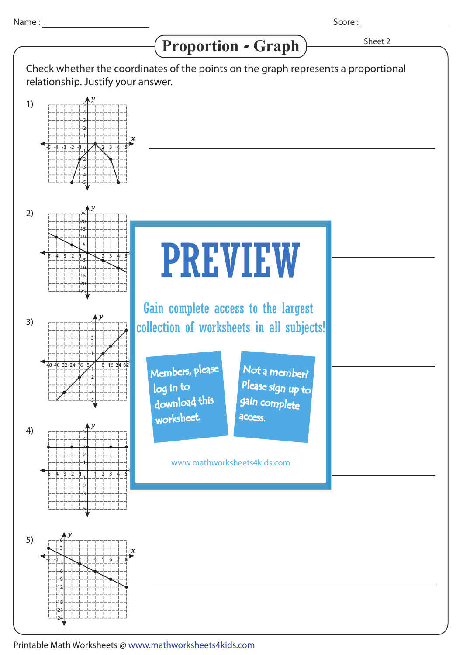1)

2)

3)

4)

*x y y* -1-2-3-4-5 1 2 3 4 5 25 20 15 10 5 -5 -10 -15 -20 -25 *y* 5 4 3 2 1 -1  $\mathfrak{c}_2$ -3 -4 -5 -1-2-3-4-5 1 2 3 4 5 Proportion - Graph > Sheet 2 Score : Check whether the coordinates of the points on the graph represents a proportional relationship. Justify your answer. *y* -2-3-4-5 -1 1 2 3 4 5 5 4 3 2 1 -1 -2 -3 -4 -5 *y*  $-48-40-32-24-16-8$  8 16 24 32 5 4 3 2 1  $-1$ -2 -3 -4 -5 PREVIEW www.mathworksheets4kids.com Members, please download this worksheet. log in to Not a member? gain complete Please sign up to **access** Gain complete access to the largest collection of worksheets in all subjects!